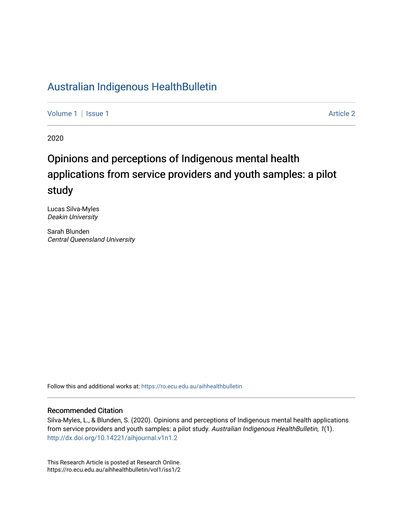## [Australian Indigenous HealthBulletin](https://ro.ecu.edu.au/aihhealthbulletin)

[Volume 1](https://ro.ecu.edu.au/aihhealthbulletin/vol1) | [Issue 1](https://ro.ecu.edu.au/aihhealthbulletin/vol1/iss1) Article 2

2020

# Opinions and perceptions of Indigenous mental health applications from service providers and youth samples: a pilot study

Lucas Silva-Myles Deakin University

Sarah Blunden Central Queensland University

Follow this and additional works at: [https://ro.ecu.edu.au/aihhealthbulletin](https://ro.ecu.edu.au/aihhealthbulletin?utm_source=ro.ecu.edu.au%2Faihhealthbulletin%2Fvol1%2Fiss1%2F2&utm_medium=PDF&utm_campaign=PDFCoverPages) 

#### Recommended Citation

Silva-Myles, L., & Blunden, S. (2020). Opinions and perceptions of Indigenous mental health applications from service providers and youth samples: a pilot study. Australian Indigenous HealthBulletin, 1(1). <http://dx.doi.org/10.14221/aihjournal.v1n1.2>

This Research Article is posted at Research Online. https://ro.ecu.edu.au/aihhealthbulletin/vol1/iss1/2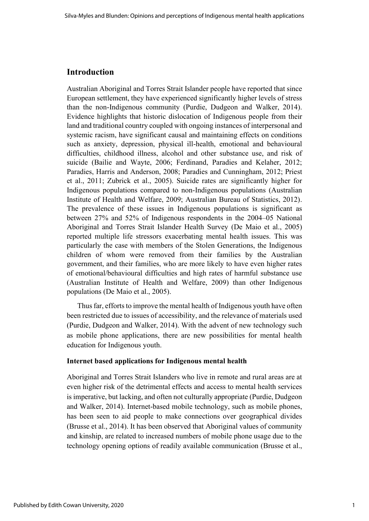### **Introduction**

Australian Aboriginal and Torres Strait Islander people have reported that since European settlement, they have experienced significantly higher levels of stress than the non-Indigenous community (Purdie, Dudgeon and Walker, 2014). Evidence highlights that historic dislocation of Indigenous people from their land and traditional country coupled with ongoing instances of interpersonal and systemic racism, have significant causal and maintaining effects on conditions such as anxiety, depression, physical ill-health, emotional and behavioural difficulties, childhood illness, alcohol and other substance use, and risk of suicide (Bailie and Wayte, 2006; Ferdinand, Paradies and Kelaher, 2012; Paradies, Harris and Anderson, 2008; Paradies and Cunningham, 2012; Priest et al., 2011; Zubrick et al., 2005). Suicide rates are significantly higher for Indigenous populations compared to non-Indigenous populations (Australian Institute of Health and Welfare, 2009; Australian Bureau of Statistics, 2012). The prevalence of these issues in Indigenous populations is significant as between 27% and 52% of Indigenous respondents in the 2004–05 National Aboriginal and Torres Strait Islander Health Survey (De Maio et al., 2005) reported multiple life stressors exacerbating mental health issues. This was particularly the case with members of the Stolen Generations, the Indigenous children of whom were removed from their families by the Australian government, and their families, who are more likely to have even higher rates of emotional/behavioural difficulties and high rates of harmful substance use (Australian Institute of Health and Welfare, 2009) than other Indigenous populations (De Maio et al., 2005).

Thus far, efforts to improve the mental health of Indigenous youth have often been restricted due to issues of accessibility, and the relevance of materials used (Purdie, Dudgeon and Walker, 2014). With the advent of new technology such as mobile phone applications, there are new possibilities for mental health education for Indigenous youth.

#### **Internet based applications for Indigenous mental health**

Aboriginal and Torres Strait Islanders who live in remote and rural areas are at even higher risk of the detrimental effects and access to mental health services is imperative, but lacking, and often not culturally appropriate (Purdie, Dudgeon and Walker, 2014). Internet-based mobile technology, such as mobile phones, has been seen to aid people to make connections over geographical divides (Brusse et al., 2014). It has been observed that Aboriginal values of community and kinship, are related to increased numbers of mobile phone usage due to the technology opening options of readily available communication (Brusse et al.,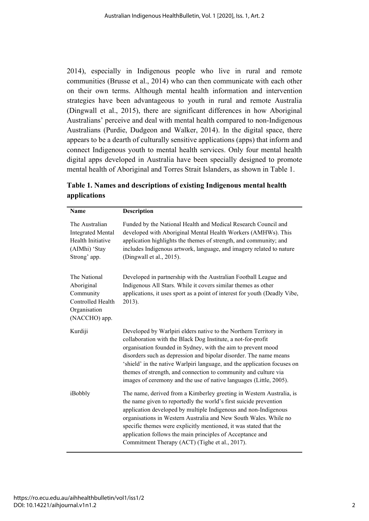2014), especially in Indigenous people who live in rural and remote communities (Brusse et al., 2014) who can then communicate with each other on their own terms. Although mental health information and intervention strategies have been advantageous to youth in rural and remote Australia (Dingwall et al., 2015), there are significant differences in how Aboriginal Australians' perceive and deal with mental health compared to non-Indigenous Australians (Purdie, Dudgeon and Walker, 2014). In the digital space, there appears to be a dearth of culturally sensitive applications (apps) that inform and connect Indigenous youth to mental health services. Only four mental health digital apps developed in Australia have been specially designed to promote mental health of Aboriginal and Torres Strait Islanders, as shown in Table 1.

| Name                                                                                             | <b>Description</b>                                                                                                                                                                                                                                                                                                                                                                                                                                                                         |
|--------------------------------------------------------------------------------------------------|--------------------------------------------------------------------------------------------------------------------------------------------------------------------------------------------------------------------------------------------------------------------------------------------------------------------------------------------------------------------------------------------------------------------------------------------------------------------------------------------|
| The Australian<br><b>Integrated Mental</b><br>Health Initiative<br>(AIMhi) 'Stay<br>Strong' app. | Funded by the National Health and Medical Research Council and<br>developed with Aboriginal Mental Health Workers (AMHWs). This<br>application highlights the themes of strength, and community; and<br>includes Indigenous artwork, language, and imagery related to nature<br>(Dingwall et al., 2015).                                                                                                                                                                                   |
| The National<br>Aboriginal<br>Community<br>Controlled Health<br>Organisation<br>(NACCHO) app.    | Developed in partnership with the Australian Football League and<br>Indigenous All Stars. While it covers similar themes as other<br>applications, it uses sport as a point of interest for youth (Deadly Vibe,<br>2013).                                                                                                                                                                                                                                                                  |
| Kurdiji                                                                                          | Developed by Warlpiri elders native to the Northern Territory in<br>collaboration with the Black Dog Institute, a not-for-profit<br>organisation founded in Sydney, with the aim to prevent mood<br>disorders such as depression and bipolar disorder. The name means<br>'shield' in the native Warlpiri language, and the application focuses on<br>themes of strength, and connection to community and culture via<br>images of ceremony and the use of native languages (Little, 2005). |
| iBobbly                                                                                          | The name, derived from a Kimberley greeting in Western Australia, is<br>the name given to reportedly the world's first suicide prevention<br>application developed by multiple Indigenous and non-Indigenous<br>organisations in Western Australia and New South Wales. While no<br>specific themes were explicitly mentioned, it was stated that the<br>application follows the main principles of Acceptance and<br>Commitment Therapy (ACT) (Tighe et al., 2017).                       |

**Table 1. Names and descriptions of existing Indigenous mental health applications**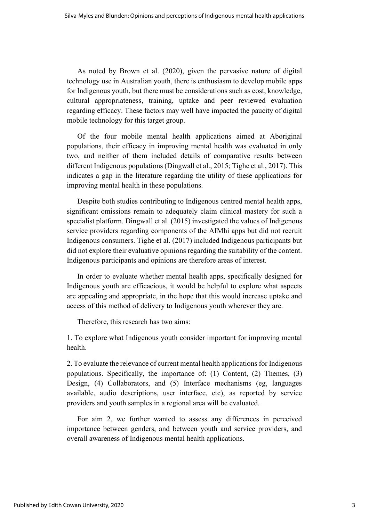As noted by Brown et al. (2020), given the pervasive nature of digital technology use in Australian youth, there is enthusiasm to develop mobile apps for Indigenous youth, but there must be considerations such as cost, knowledge, cultural appropriateness, training, uptake and peer reviewed evaluation regarding efficacy. These factors may well have impacted the paucity of digital mobile technology for this target group.

Of the four mobile mental health applications aimed at Aboriginal populations, their efficacy in improving mental health was evaluated in only two, and neither of them included details of comparative results between different Indigenous populations (Dingwall et al., 2015; Tighe et al., 2017). This indicates a gap in the literature regarding the utility of these applications for improving mental health in these populations.

Despite both studies contributing to Indigenous centred mental health apps, significant omissions remain to adequately claim clinical mastery for such a specialist platform. Dingwall et al. (2015) investigated the values of Indigenous service providers regarding components of the AIMhi apps but did not recruit Indigenous consumers. Tighe et al. (2017) included Indigenous participants but did not explore their evaluative opinions regarding the suitability of the content. Indigenous participants and opinions are therefore areas of interest.

In order to evaluate whether mental health apps, specifically designed for Indigenous youth are efficacious, it would be helpful to explore what aspects are appealing and appropriate, in the hope that this would increase uptake and access of this method of delivery to Indigenous youth wherever they are.

Therefore, this research has two aims:

1. To explore what Indigenous youth consider important for improving mental health.

2. To evaluate the relevance of current mental health applications for Indigenous populations. Specifically, the importance of: (1) Content, (2) Themes, (3) Design, (4) Collaborators, and (5) Interface mechanisms (eg, languages available, audio descriptions, user interface, etc), as reported by service providers and youth samples in a regional area will be evaluated.

For aim 2, we further wanted to assess any differences in perceived importance between genders, and between youth and service providers, and overall awareness of Indigenous mental health applications.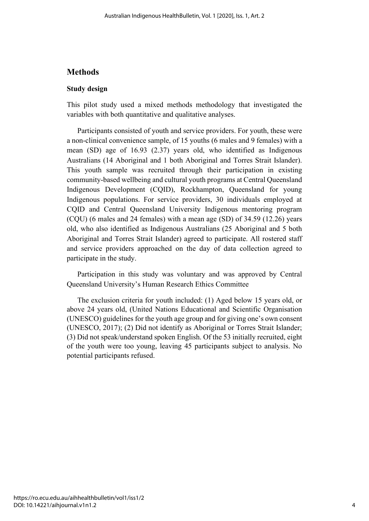### **Methods**

#### **Study design**

This pilot study used a mixed methods methodology that investigated the variables with both quantitative and qualitative analyses.

Participants consisted of youth and service providers. For youth, these were a non-clinical convenience sample, of 15 youths (6 males and 9 females) with a mean (SD) age of 16.93 (2.37) years old, who identified as Indigenous Australians (14 Aboriginal and 1 both Aboriginal and Torres Strait Islander). This youth sample was recruited through their participation in existing community-based wellbeing and cultural youth programs at Central Queensland Indigenous Development (CQID), Rockhampton, Queensland for young Indigenous populations. For service providers, 30 individuals employed at CQID and Central Queensland University Indigenous mentoring program (CQU) (6 males and 24 females) with a mean age (SD) of 34.59 (12.26) years old, who also identified as Indigenous Australians (25 Aboriginal and 5 both Aboriginal and Torres Strait Islander) agreed to participate. All rostered staff and service providers approached on the day of data collection agreed to participate in the study.

Participation in this study was voluntary and was approved by Central Queensland University's Human Research Ethics Committee

The exclusion criteria for youth included: (1) Aged below 15 years old, or above 24 years old, (United Nations Educational and Scientific Organisation (UNESCO) guidelines for the youth age group and for giving one's own consent (UNESCO, 2017); (2) Did not identify as Aboriginal or Torres Strait Islander; (3) Did not speak/understand spoken English. Of the 53 initially recruited, eight of the youth were too young, leaving 45 participants subject to analysis. No potential participants refused.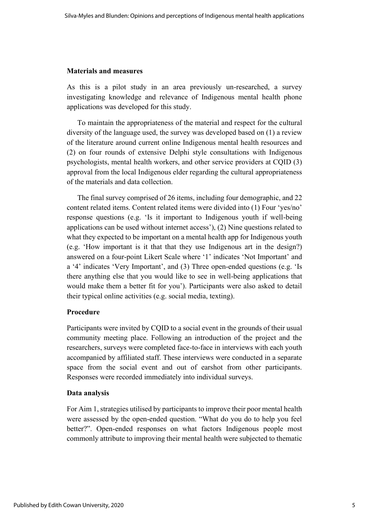#### **Materials and measures**

As this is a pilot study in an area previously un-researched, a survey investigating knowledge and relevance of Indigenous mental health phone applications was developed for this study.

To maintain the appropriateness of the material and respect for the cultural diversity of the language used, the survey was developed based on (1) a review of the literature around current online Indigenous mental health resources and (2) on four rounds of extensive Delphi style consultations with Indigenous psychologists, mental health workers, and other service providers at CQID (3) approval from the local Indigenous elder regarding the cultural appropriateness of the materials and data collection.

The final survey comprised of 26 items, including four demographic, and 22 content related items. Content related items were divided into (1) Four 'yes/no' response questions (e.g. 'Is it important to Indigenous youth if well-being applications can be used without internet access'), (2) Nine questions related to what they expected to be important on a mental health app for Indigenous youth (e.g. 'How important is it that that they use Indigenous art in the design?) answered on a four-point Likert Scale where '1' indicates 'Not Important' and a '4' indicates 'Very Important', and (3) Three open-ended questions (e.g. 'Is there anything else that you would like to see in well-being applications that would make them a better fit for you'). Participants were also asked to detail their typical online activities (e.g. social media, texting).

### **Procedure**

Participants were invited by CQID to a social event in the grounds of their usual community meeting place. Following an introduction of the project and the researchers, surveys were completed face-to-face in interviews with each youth accompanied by affiliated staff. These interviews were conducted in a separate space from the social event and out of earshot from other participants. Responses were recorded immediately into individual surveys.

#### **Data analysis**

For Aim 1, strategies utilised by participants to improve their poor mental health were assessed by the open-ended question. "What do you do to help you feel better?". Open-ended responses on what factors Indigenous people most commonly attribute to improving their mental health were subjected to thematic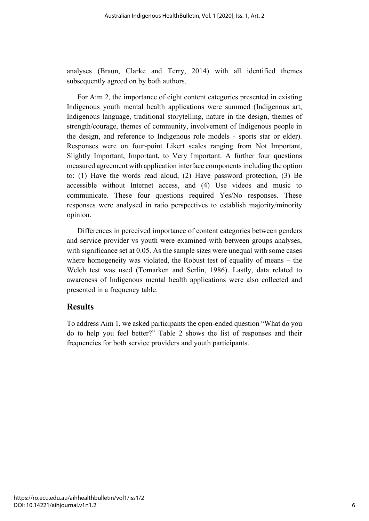analyses (Braun, Clarke and Terry, 2014) with all identified themes subsequently agreed on by both authors.

For Aim 2, the importance of eight content categories presented in existing Indigenous youth mental health applications were summed (Indigenous art, Indigenous language, traditional storytelling, nature in the design, themes of strength/courage, themes of community, involvement of Indigenous people in the design, and reference to Indigenous role models - sports star or elder). Responses were on four-point Likert scales ranging from Not Important, Slightly Important, Important, to Very Important. A further four questions measured agreement with application interface components including the option to: (1) Have the words read aloud, (2) Have password protection, (3) Be accessible without Internet access, and (4) Use videos and music to communicate. These four questions required Yes/No responses. These responses were analysed in ratio perspectives to establish majority/minority opinion.

Differences in perceived importance of content categories between genders and service provider vs youth were examined with between groups analyses, with significance set at 0.05. As the sample sizes were unequal with some cases where homogeneity was violated, the Robust test of equality of means – the Welch test was used (Tomarken and Serlin, 1986). Lastly, data related to awareness of Indigenous mental health applications were also collected and presented in a frequency table.

### **Results**

To address Aim 1, we asked participants the open-ended question "What do you do to help you feel better?" Table 2 shows the list of responses and their frequencies for both service providers and youth participants.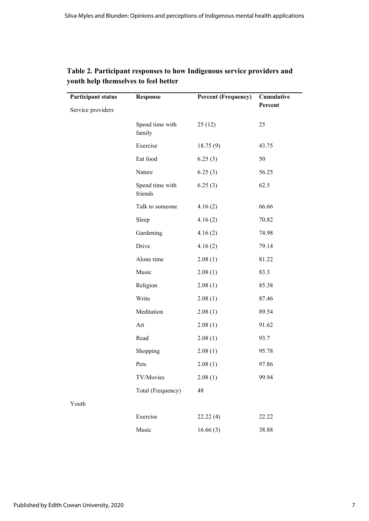| <b>Participant status</b> | <b>Response</b>            | <b>Percent (Frequency)</b> | Cumulative<br>Percent |
|---------------------------|----------------------------|----------------------------|-----------------------|
| Service providers         |                            |                            |                       |
|                           | Spend time with<br>family  | 25(12)                     | 25                    |
|                           | Exercise                   | 18.75(9)                   | 43.75                 |
|                           | Eat food                   | 6.25(3)                    | 50                    |
|                           | Nature                     | 6.25(3)                    | 56.25                 |
|                           | Spend time with<br>friends | 6.25(3)                    | 62.5                  |
|                           | Talk to someone            | 4.16(2)                    | 66.66                 |
|                           | Sleep                      | 4.16(2)                    | 70.82                 |
|                           | Gardening                  | 4.16(2)                    | 74.98                 |
|                           | Drive                      | 4.16(2)                    | 79.14                 |
|                           | Alone time                 | 2.08(1)                    | 81.22                 |
|                           | Music                      | 2.08(1)                    | 83.3                  |
|                           | Religion                   | 2.08(1)                    | 85.38                 |
|                           | Write                      | 2.08(1)                    | 87.46                 |
|                           | Meditation                 | 2.08(1)                    | 89.54                 |
|                           | Art                        | 2.08(1)                    | 91.62                 |
|                           | Read                       | 2.08(1)                    | 93.7                  |
|                           | Shopping                   | 2.08(1)                    | 95.78                 |
|                           | Pets                       | 2.08(1)                    | 97.86                 |
|                           | TV/Movies                  | 2.08(1)                    | 99.94                 |
|                           | Total (Frequency)          | 48                         |                       |
| Youth                     |                            |                            |                       |
|                           | Exercise                   | 22.22(4)                   | 22.22                 |
|                           | Music                      | 16.66(3)                   | 38.88                 |

### **Table 2. Participant responses to how Indigenous service providers and youth help themselves to feel better**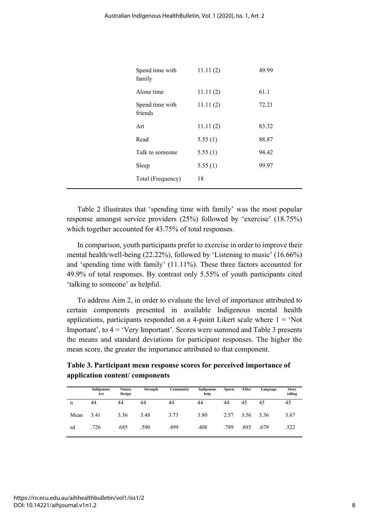| Spend time with<br>family  | 11.11(2) | 49.99 |
|----------------------------|----------|-------|
| Alone time                 | 11.11(2) | 61.1  |
| Spend time with<br>friends | 11.11(2) | 72.21 |
| Art                        | 11.11(2) | 83.32 |
| Read                       | 5.55(1)  | 88.87 |
| Talk to someone            | 5.55(1)  | 94.42 |
| Sleep                      | 5.55(1)  | 99.97 |
| Total (Frequency)          | 18       |       |

Table 2 illustrates that 'spending time with family' was the most popular response amongst service providers (25%) followed by 'exercise' (18.75%) which together accounted for 43.75% of total responses.

In comparison, youth participants prefer to exercise in order to improve their mental health/well-being (22.22%), followed by 'Listening to music' (16.66%) and 'spending time with family' (11.11%). These three factors accounted for 49.9% of total responses. By contrast only 5.55% of youth participants cited 'talking to someone' as helpful.

To address Aim 2, in order to evaluate the level of importance attributed to certain components presented in available Indigenous mental health applications, participants responded on a 4-point Likert scale where  $1 = 'Not$ Important', to 4 = 'Very Important'. Scores were summed and Table 3 presents the means and standard deviations for participant responses. The higher the mean score, the greater the importance attributed to that component.

**Table 3. Participant mean response scores for perceived importance of application content/ components** 

|      | Indigenous<br>Art | <b>Nature</b><br>Design | Strength | Community | Indigenous<br>help | <b>Sports</b> | Elder | Language | <b>Story</b><br>telling |
|------|-------------------|-------------------------|----------|-----------|--------------------|---------------|-------|----------|-------------------------|
| n    | 44                | 44                      | 44       | 44        | 44                 | 44            | 45    | 45       | 45                      |
| Mean | 3.41              | 3.36                    | 3.48     | 3.73      | 3.80               | 2.57          | 3.56  | 3.36     | 3.67                    |
| sd   | .726              | .685                    | .590     | .499      | .408               | .789          | .693  | .679     | .522                    |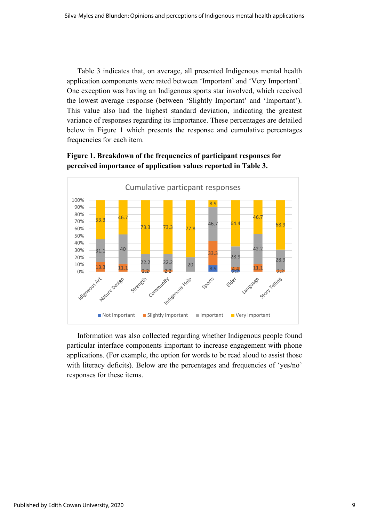Table 3 indicates that, on average, all presented Indigenous mental health application components were rated between 'Important' and 'Very Important'. One exception was having an Indigenous sports star involved, which received the lowest average response (between 'Slightly Important' and 'Important'). This value also had the highest standard deviation, indicating the greatest variance of responses regarding its importance. These percentages are detailed below in Figure 1 which presents the response and cumulative percentages frequencies for each item.

### **Figure 1. Breakdown of the frequencies of participant responses for perceived importance of application values reported in Table 3.**



Information was also collected regarding whether Indigenous people found particular interface components important to increase engagement with phone applications. (For example, the option for words to be read aloud to assist those with literacy deficits). Below are the percentages and frequencies of 'yes/no' responses for these items.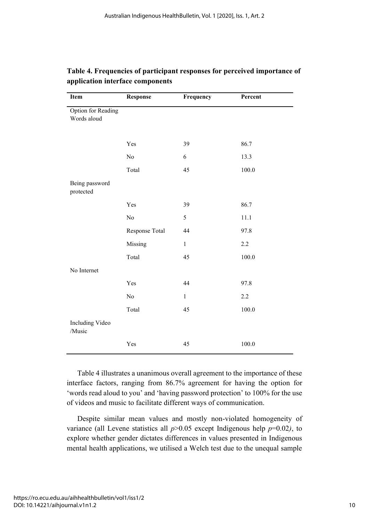| Item                              | <b>Response</b> | Frequency    | Percent |
|-----------------------------------|-----------------|--------------|---------|
| Option for Reading<br>Words aloud |                 |              |         |
|                                   | Yes             | 39           | 86.7    |
|                                   | $\rm No$        | 6            | 13.3    |
|                                   | Total           | 45           | 100.0   |
| Being password<br>protected       |                 |              |         |
|                                   | Yes             | 39           | 86.7    |
|                                   | No              | 5            | 11.1    |
|                                   | Response Total  | 44           | 97.8    |
|                                   | Missing         | $\mathbf 1$  | 2.2     |
|                                   | Total           | 45           | 100.0   |
| No Internet                       |                 |              |         |
|                                   | Yes             | 44           | 97.8    |
|                                   | $\rm No$        | $\mathbf{1}$ | 2.2     |
|                                   | Total           | 45           | 100.0   |
| Including Video<br>/Music         |                 |              |         |
|                                   | Yes             | 45           | 100.0   |

### **Table 4. Frequencies of participant responses for perceived importance of application interface components**

Table 4 illustrates a unanimous overall agreement to the importance of these interface factors, ranging from 86.7% agreement for having the option for 'words read aloud to you' and 'having password protection' to 100% for the use of videos and music to facilitate different ways of communication.

Despite similar mean values and mostly non-violated homogeneity of variance (all Levene statistics all  $p > 0.05$  except Indigenous help  $p=0.02$ ), to explore whether gender dictates differences in values presented in Indigenous mental health applications, we utilised a Welch test due to the unequal sample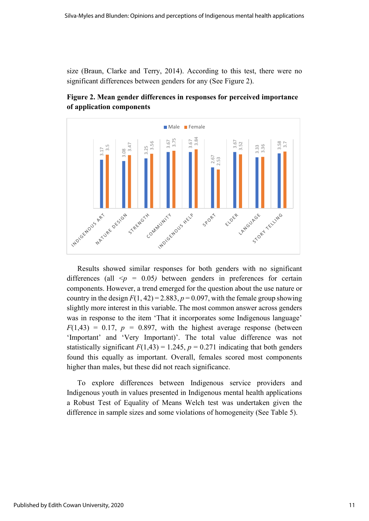size (Braun, Clarke and Terry, 2014). According to this test, there were no significant differences between genders for any (See Figure 2).



**Figure 2. Mean gender differences in responses for perceived importance of application components** 

Results showed similar responses for both genders with no significant differences (all  $\leq p = 0.05$ ) between genders in preferences for certain components. However, a trend emerged for the question about the use nature or country in the design  $F(1, 42) = 2.883$ ,  $p = 0.097$ , with the female group showing slightly more interest in this variable. The most common answer across genders was in response to the item 'That it incorporates some Indigenous language'  $F(1,43) = 0.17$ ,  $p = 0.897$ , with the highest average response (between 'Important' and 'Very Important)'. The total value difference was not statistically significant  $F(1,43) = 1.245$ ,  $p = 0.271$  indicating that both genders found this equally as important. Overall, females scored most components higher than males, but these did not reach significance.

To explore differences between Indigenous service providers and Indigenous youth in values presented in Indigenous mental health applications a Robust Test of Equality of Means Welch test was undertaken given the difference in sample sizes and some violations of homogeneity (See Table 5).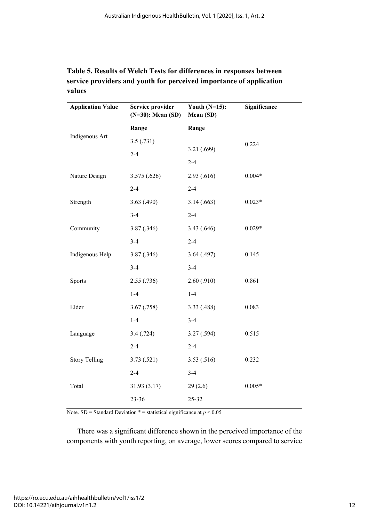| Service provider<br>$(N=30)$ : Mean $(SD)$ | Youth $(N=15)$ :<br>Mean (SD) | Significance                          |
|--------------------------------------------|-------------------------------|---------------------------------------|
| Range                                      | Range                         |                                       |
| 3.5(.731)                                  |                               | 0.224                                 |
| $2 - 4$                                    |                               |                                       |
|                                            |                               |                                       |
|                                            |                               | $0.004*$                              |
| $2 - 4$                                    | $2 - 4$                       |                                       |
| 3.63(0.490)                                | 3.14(0.663)                   | $0.023*$                              |
| $3 - 4$                                    | $2 - 4$                       |                                       |
| 3.87(.346)                                 | 3.43 (.646)                   | $0.029*$                              |
| $3 - 4$                                    | $2 - 4$                       |                                       |
| 3.87(.346)                                 | 3.64(0.497)                   | 0.145                                 |
| $3 - 4$                                    | $3-4$                         |                                       |
| 2.55(.736)                                 | 2.60(0.910)                   | 0.861                                 |
| $1-4$                                      | $1-4$                         |                                       |
| 3.67(0.758)                                | 3.33 (.488)                   | 0.083                                 |
| $1-4$                                      | $3-4$                         |                                       |
| 3.4(.724)                                  | 3.27(.594)                    | 0.515                                 |
| $2 - 4$                                    | $2 - 4$                       |                                       |
| 3.73(.521)                                 | 3.53(.516)                    | 0.232                                 |
| $2 - 4$                                    | $3-4$                         |                                       |
| 31.93(3.17)                                | 29(2.6)                       | $0.005*$                              |
| 23-36                                      | 25-32                         |                                       |
|                                            | 3.575(.626)                   | 3.21 (.699)<br>$2 - 4$<br>2.93(0.616) |

### **Table 5. Results of Welch Tests for differences in responses between service providers and youth for perceived importance of application values**

Note. SD = Standard Deviation  $* =$  statistical significance at  $p < 0.05$ 

There was a significant difference shown in the perceived importance of the components with youth reporting, on average, lower scores compared to service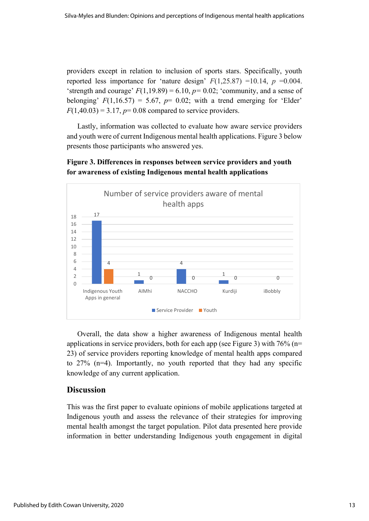providers except in relation to inclusion of sports stars. Specifically, youth reported less importance for 'nature design'  $F(1,25.87) = 10.14$ ,  $p = 0.004$ . 'strength and courage'  $F(1,19.89) = 6.10$ ,  $p = 0.02$ ; 'community, and a sense of belonging'  $F(1,16.57) = 5.67$ ,  $p = 0.02$ ; with a trend emerging for 'Elder'  $F(1,40.03) = 3.17$ ,  $p = 0.08$  compared to service providers.

Lastly, information was collected to evaluate how aware service providers and youth were of current Indigenous mental health applications. Figure 3 below presents those participants who answered yes.



**Figure 3. Differences in responses between service providers and youth for awareness of existing Indigenous mental health applications**

Overall, the data show a higher awareness of Indigenous mental health applications in service providers, both for each app (see Figure 3) with 76% (n= 23) of service providers reporting knowledge of mental health apps compared to 27% (n=4). Importantly, no youth reported that they had any specific knowledge of any current application.

### **Discussion**

This was the first paper to evaluate opinions of mobile applications targeted at Indigenous youth and assess the relevance of their strategies for improving mental health amongst the target population. Pilot data presented here provide information in better understanding Indigenous youth engagement in digital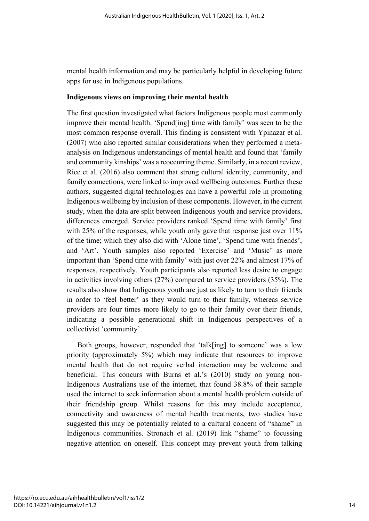mental health information and may be particularly helpful in developing future apps for use in Indigenous populations.

#### **Indigenous views on improving their mental health**

The first question investigated what factors Indigenous people most commonly improve their mental health. 'Spend[ing] time with family' was seen to be the most common response overall. This finding is consistent with Ypinazar et al. (2007) who also reported similar considerations when they performed a metaanalysis on Indigenous understandings of mental health and found that 'family and community kinships' was a reoccurring theme. Similarly, in a recent review, Rice et al. (2016) also comment that strong cultural identity, community, and family connections, were linked to improved wellbeing outcomes. Further these authors, suggested digital technologies can have a powerful role in promoting Indigenous wellbeing by inclusion of these components. However, in the current study, when the data are split between Indigenous youth and service providers, differences emerged. Service providers ranked 'Spend time with family' first with 25% of the responses, while youth only gave that response just over 11% of the time; which they also did with 'Alone time', 'Spend time with friends', and 'Art'. Youth samples also reported 'Exercise' and 'Music' as more important than 'Spend time with family' with just over 22% and almost 17% of responses, respectively. Youth participants also reported less desire to engage in activities involving others (27%) compared to service providers (35%). The results also show that Indigenous youth are just as likely to turn to their friends in order to 'feel better' as they would turn to their family, whereas service providers are four times more likely to go to their family over their friends, indicating a possible generational shift in Indigenous perspectives of a collectivist 'community'.

Both groups, however, responded that 'talk[ing] to someone' was a low priority (approximately 5%) which may indicate that resources to improve mental health that do not require verbal interaction may be welcome and beneficial. This concurs with Burns et al.'s (2010) study on young non-Indigenous Australians use of the internet, that found 38.8% of their sample used the internet to seek information about a mental health problem outside of their friendship group. Whilst reasons for this may include acceptance, connectivity and awareness of mental health treatments, two studies have suggested this may be potentially related to a cultural concern of "shame" in Indigenous communities. Stronach et al. (2019) link "shame" to focussing negative attention on oneself. This concept may prevent youth from talking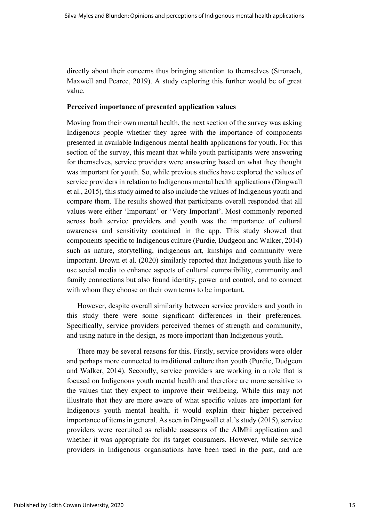directly about their concerns thus bringing attention to themselves (Stronach, Maxwell and Pearce, 2019). A study exploring this further would be of great value.

### **Perceived importance of presented application values**

Moving from their own mental health, the next section of the survey was asking Indigenous people whether they agree with the importance of components presented in available Indigenous mental health applications for youth. For this section of the survey, this meant that while youth participants were answering for themselves, service providers were answering based on what they thought was important for youth. So, while previous studies have explored the values of service providers in relation to Indigenous mental health applications (Dingwall et al., 2015), this study aimed to also include the values of Indigenous youth and compare them. The results showed that participants overall responded that all values were either 'Important' or 'Very Important'. Most commonly reported across both service providers and youth was the importance of cultural awareness and sensitivity contained in the app. This study showed that components specific to Indigenous culture (Purdie, Dudgeon and Walker, 2014) such as nature, storytelling, indigenous art, kinships and community were important. Brown et al. (2020) similarly reported that Indigenous youth like to use social media to enhance aspects of cultural compatibility, community and family connections but also found identity, power and control, and to connect with whom they choose on their own terms to be important.

However, despite overall similarity between service providers and youth in this study there were some significant differences in their preferences. Specifically, service providers perceived themes of strength and community, and using nature in the design, as more important than Indigenous youth.

There may be several reasons for this. Firstly, service providers were older and perhaps more connected to traditional culture than youth (Purdie, Dudgeon and Walker, 2014). Secondly, service providers are working in a role that is focused on Indigenous youth mental health and therefore are more sensitive to the values that they expect to improve their wellbeing. While this may not illustrate that they are more aware of what specific values are important for Indigenous youth mental health, it would explain their higher perceived importance of items in general. As seen in Dingwall et al.'s study (2015), service providers were recruited as reliable assessors of the AIMhi application and whether it was appropriate for its target consumers. However, while service providers in Indigenous organisations have been used in the past, and are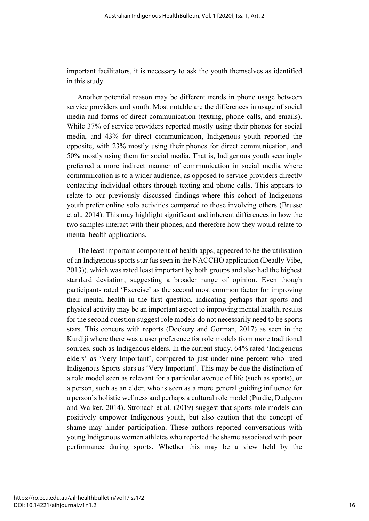important facilitators, it is necessary to ask the youth themselves as identified in this study.

Another potential reason may be different trends in phone usage between service providers and youth. Most notable are the differences in usage of social media and forms of direct communication (texting, phone calls, and emails). While 37% of service providers reported mostly using their phones for social media, and 43% for direct communication, Indigenous youth reported the opposite, with 23% mostly using their phones for direct communication, and 50% mostly using them for social media. That is, Indigenous youth seemingly preferred a more indirect manner of communication in social media where communication is to a wider audience, as opposed to service providers directly contacting individual others through texting and phone calls. This appears to relate to our previously discussed findings where this cohort of Indigenous youth prefer online solo activities compared to those involving others (Brusse et al., 2014). This may highlight significant and inherent differences in how the two samples interact with their phones, and therefore how they would relate to mental health applications.

The least important component of health apps, appeared to be the utilisation of an Indigenous sports star (as seen in the NACCHO application (Deadly Vibe, 2013)), which was rated least important by both groups and also had the highest standard deviation, suggesting a broader range of opinion. Even though participants rated 'Exercise' as the second most common factor for improving their mental health in the first question, indicating perhaps that sports and physical activity may be an important aspect to improving mental health, results for the second question suggest role models do not necessarily need to be sports stars. This concurs with reports (Dockery and Gorman, 2017) as seen in the Kurdiji where there was a user preference for role models from more traditional sources, such as Indigenous elders. In the current study, 64% rated 'Indigenous elders' as 'Very Important', compared to just under nine percent who rated Indigenous Sports stars as 'Very Important'. This may be due the distinction of a role model seen as relevant for a particular avenue of life (such as sports), or a person, such as an elder, who is seen as a more general guiding influence for a person's holistic wellness and perhaps a cultural role model (Purdie, Dudgeon and Walker, 2014). Stronach et al. (2019) suggest that sports role models can positively empower Indigenous youth, but also caution that the concept of shame may hinder participation. These authors reported conversations with young Indigenous women athletes who reported the shame associated with poor performance during sports. Whether this may be a view held by the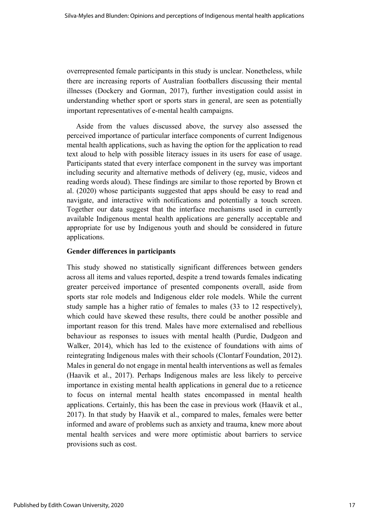overrepresented female participants in this study is unclear. Nonetheless, while there are increasing reports of Australian footballers discussing their mental illnesses (Dockery and Gorman, 2017), further investigation could assist in understanding whether sport or sports stars in general, are seen as potentially important representatives of e-mental health campaigns.

 Aside from the values discussed above, the survey also assessed the perceived importance of particular interface components of current Indigenous mental health applications, such as having the option for the application to read text aloud to help with possible literacy issues in its users for ease of usage. Participants stated that every interface component in the survey was important including security and alternative methods of delivery (eg, music, videos and reading words aloud). These findings are similar to those reported by Brown et al. (2020) whose participants suggested that apps should be easy to read and navigate, and interactive with notifications and potentially a touch screen. Together our data suggest that the interface mechanisms used in currently available Indigenous mental health applications are generally acceptable and appropriate for use by Indigenous youth and should be considered in future applications.

### **Gender differences in participants**

This study showed no statistically significant differences between genders across all items and values reported, despite a trend towards females indicating greater perceived importance of presented components overall, aside from sports star role models and Indigenous elder role models. While the current study sample has a higher ratio of females to males (33 to 12 respectively), which could have skewed these results, there could be another possible and important reason for this trend. Males have more externalised and rebellious behaviour as responses to issues with mental health (Purdie, Dudgeon and Walker, 2014), which has led to the existence of foundations with aims of reintegrating Indigenous males with their schools (Clontarf Foundation, 2012). Males in general do not engage in mental health interventions as well as females (Haavik et al., 2017). Perhaps Indigenous males are less likely to perceive importance in existing mental health applications in general due to a reticence to focus on internal mental health states encompassed in mental health applications. Certainly, this has been the case in previous work (Haavik et al., 2017). In that study by Haavik et al., compared to males, females were better informed and aware of problems such as anxiety and trauma, knew more about mental health services and were more optimistic about barriers to service provisions such as cost.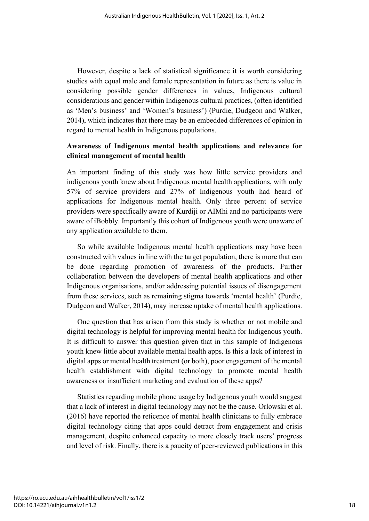However, despite a lack of statistical significance it is worth considering studies with equal male and female representation in future as there is value in considering possible gender differences in values, Indigenous cultural considerations and gender within Indigenous cultural practices, (often identified as 'Men's business' and 'Women's business') (Purdie, Dudgeon and Walker, 2014), which indicates that there may be an embedded differences of opinion in regard to mental health in Indigenous populations.

### **Awareness of Indigenous mental health applications and relevance for clinical management of mental health**

An important finding of this study was how little service providers and indigenous youth knew about Indigenous mental health applications, with only 57% of service providers and 27% of Indigenous youth had heard of applications for Indigenous mental health. Only three percent of service providers were specifically aware of Kurdiji or AIMhi and no participants were aware of iBobbly. Importantly this cohort of Indigenous youth were unaware of any application available to them.

So while available Indigenous mental health applications may have been constructed with values in line with the target population, there is more that can be done regarding promotion of awareness of the products. Further collaboration between the developers of mental health applications and other Indigenous organisations, and/or addressing potential issues of disengagement from these services, such as remaining stigma towards 'mental health' (Purdie, Dudgeon and Walker, 2014), may increase uptake of mental health applications.

One question that has arisen from this study is whether or not mobile and digital technology is helpful for improving mental health for Indigenous youth. It is difficult to answer this question given that in this sample of Indigenous youth knew little about available mental health apps. Is this a lack of interest in digital apps or mental health treatment (or both), poor engagement of the mental health establishment with digital technology to promote mental health awareness or insufficient marketing and evaluation of these apps?

Statistics regarding mobile phone usage by Indigenous youth would suggest that a lack of interest in digital technology may not be the cause. Orlowski et al. (2016) have reported the reticence of mental health clinicians to fully embrace digital technology citing that apps could detract from engagement and crisis management, despite enhanced capacity to more closely track users' progress and level of risk. Finally, there is a paucity of peer-reviewed publications in this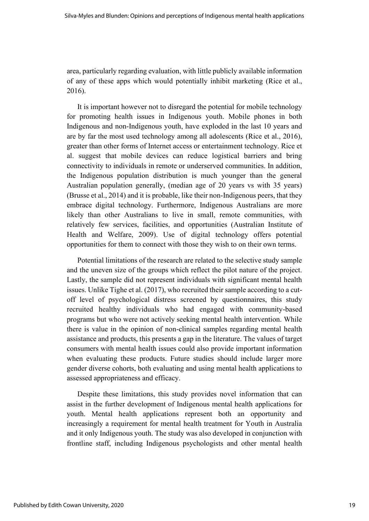area, particularly regarding evaluation, with little publicly available information of any of these apps which would potentially inhibit marketing (Rice et al., 2016).

It is important however not to disregard the potential for mobile technology for promoting health issues in Indigenous youth. Mobile phones in both Indigenous and non-Indigenous youth, have exploded in the last 10 years and are by far the most used technology among all adolescents (Rice et al., 2016), greater than other forms of Internet access or entertainment technology. Rice et al. suggest that mobile devices can reduce logistical barriers and bring connectivity to individuals in remote or underserved communities. In addition, the Indigenous population distribution is much younger than the general Australian population generally, (median age of 20 years vs with 35 years) (Brusse et al., 2014) and it is probable, like their non-Indigenous peers, that they embrace digital technology. Furthermore, Indigenous Australians are more likely than other Australians to live in small, remote communities, with relatively few services, facilities, and opportunities (Australian Institute of Health and Welfare, 2009). Use of digital technology offers potential opportunities for them to connect with those they wish to on their own terms.

Potential limitations of the research are related to the selective study sample and the uneven size of the groups which reflect the pilot nature of the project. Lastly, the sample did not represent individuals with significant mental health issues. Unlike Tighe et al. (2017), who recruited their sample according to a cutoff level of psychological distress screened by questionnaires, this study recruited healthy individuals who had engaged with community-based programs but who were not actively seeking mental health intervention. While there is value in the opinion of non-clinical samples regarding mental health assistance and products, this presents a gap in the literature. The values of target consumers with mental health issues could also provide important information when evaluating these products. Future studies should include larger more gender diverse cohorts, both evaluating and using mental health applications to assessed appropriateness and efficacy.

Despite these limitations, this study provides novel information that can assist in the further development of Indigenous mental health applications for youth. Mental health applications represent both an opportunity and increasingly a requirement for mental health treatment for Youth in Australia and it only Indigenous youth. The study was also developed in conjunction with frontline staff, including Indigenous psychologists and other mental health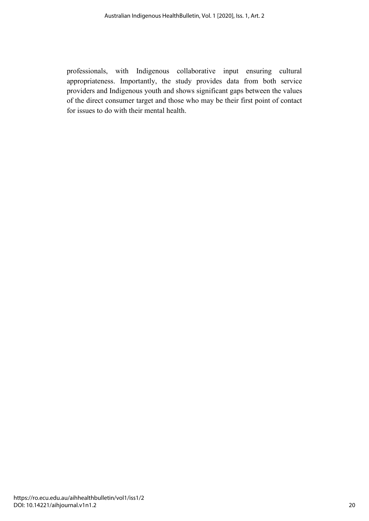professionals, with Indigenous collaborative input ensuring cultural appropriateness. Importantly, the study provides data from both service providers and Indigenous youth and shows significant gaps between the values of the direct consumer target and those who may be their first point of contact for issues to do with their mental health.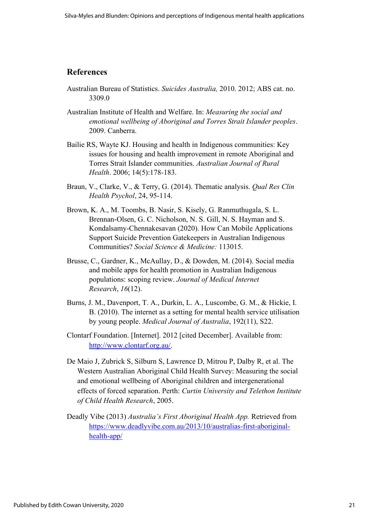### **References**

- Australian Bureau of Statistics. *Suicides Australia,* 2010. 2012; ABS cat. no. 3309.0
- Australian Institute of Health and Welfare. In: *Measuring the social and emotional wellbeing of Aboriginal and Torres Strait Islander peoples*. 2009. Canberra.
- Bailie RS, Wayte KJ. Housing and health in Indigenous communities: Key issues for housing and health improvement in remote Aboriginal and Torres Strait Islander communities. *Australian Journal of Rural Health*. 2006; 14(5):178-183.
- Braun, V., Clarke, V., & Terry, G. (2014). Thematic analysis. *Qual Res Clin Health Psychol*, 24, 95-114.
- Brown, K. A., M. Toombs, B. Nasir, S. Kisely, G. Ranmuthugala, S. L. Brennan-Olsen, G. C. Nicholson, N. S. Gill, N. S. Hayman and S. Kondalsamy-Chennakesavan (2020). How Can Mobile Applications Support Suicide Prevention Gatekeepers in Australian Indigenous Communities? *Social Science & Medicine:* 113015.
- Brusse, C., Gardner, K., McAullay, D., & Dowden, M. (2014). Social media and mobile apps for health promotion in Australian Indigenous populations: scoping review. *Journal of Medical Internet Research*, *16*(12).
- Burns, J. M., Davenport, T. A., Durkin, L. A., Luscombe, G. M., & Hickie, I. B. (2010). The internet as a setting for mental health service utilisation by young people. *Medical Journal of Australia*, 192(11), S22.
- Clontarf Foundation. [Internet]. 2012 [cited December]. Available from: [http://www.clontarf.org.au/.](about:blank)
- De Maio J, Zubrick S, Silburn S, Lawrence D, Mitrou P, Dalby R, et al. The Western Australian Aboriginal Child Health Survey: Measuring the social and emotional wellbeing of Aboriginal children and intergenerational effects of forced separation. Perth: *Curtin University and Telethon Institute of Child Health Research*, 2005.
- Deadly Vibe (2013) *Australia's First Aboriginal Health App.* Retrieved from [https://www.deadlyvibe.com.au/2013/10/australias-first-aboriginal](about:blank)[health-app/](about:blank)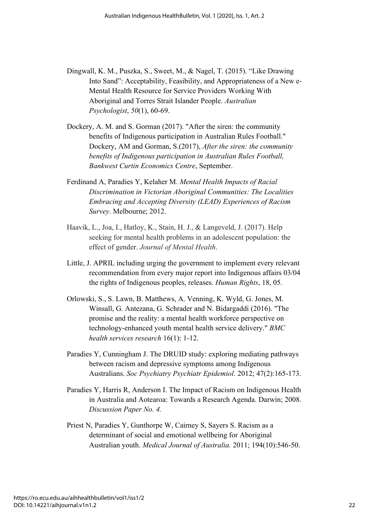- Dingwall, K. M., Puszka, S., Sweet, M., & Nagel, T. (2015). "Like Drawing Into Sand": Acceptability, Feasibility, and Appropriateness of a New e-Mental Health Resource for Service Providers Working With Aboriginal and Torres Strait Islander People. *Australian Psychologist*, *50*(1), 60-69.
- Dockery, A. M. and S. Gorman (2017). "After the siren: the community benefits of Indigenous participation in Australian Rules Football." Dockery, AM and Gorman, S.(2017), *After the siren: the community benefits of Indigenous participation in Australian Rules Football, Bankwest Curtin Economics Centre*, September.
- Ferdinand A, Paradies Y, Kelaher M. *Mental Health Impacts of Racial Discrimination in Victorian Aboriginal Communities: The Localities Embracing and Accepting Diversity (LEAD) Experiences of Racism Survey*. Melbourne; 2012.
- Haavik, L., Joa, I., Hatloy, K., Stain, H. J., & Langeveld, J. (2017). Help seeking for mental health problems in an adolescent population: the effect of gender. *Journal of Mental Health*.
- Little, J. APRIL including urging the government to implement every relevant recommendation from every major report into Indigenous affairs 03/04 the rights of Indigenous peoples, releases. *Human Rights*, 18, 05.
- Orlowski, S., S. Lawn, B. Matthews, A. Venning, K. Wyld, G. Jones, M. Winsall, G. Antezana, G. Schrader and N. Bidargaddi (2016). "The promise and the reality: a mental health workforce perspective on technology-enhanced youth mental health service delivery." *BMC health services research* 16(1): 1-12.
- Paradies Y, Cunningham J. The DRUID study: exploring mediating pathways between racism and depressive symptoms among Indigenous Australians. *Soc Psychiatry Psychiatr Epidemiol.* 2012; 47(2):165-173.
- Paradies Y, Harris R, Anderson I. The Impact of Racism on Indigenous Health in Australia and Aotearoa: Towards a Research Agenda. Darwin; 2008. *Discussion Paper No. 4.*
- Priest N, Paradies Y, Gunthorpe W, Cairney S, Sayers S. Racism as a determinant of social and emotional wellbeing for Aboriginal Australian youth. *Medical Journal of Australia.* 2011; 194(10):546-50.